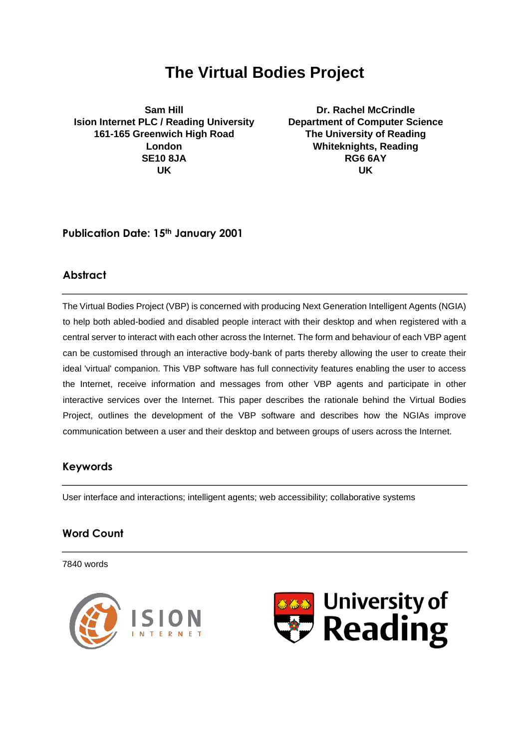# **The Virtual Bodies Project**

**Sam Hill Ision Internet PLC / Reading University 161-165 Greenwich High Road London SE10 8JA UK**

**Dr. Rachel McCrindle Department of Computer Science The University of Reading Whiteknights, Reading RG6 6AY UK**

# **Publication Date: 15th January 2001**

# **Abstract**

The Virtual Bodies Project (VBP) is concerned with producing Next Generation Intelligent Agents (NGIA) to help both abled-bodied and disabled people interact with their desktop and when registered with a central server to interact with each other across the Internet. The form and behaviour of each VBP agent can be customised through an interactive body-bank of parts thereby allowing the user to create their ideal 'virtual' companion. This VBP software has full connectivity features enabling the user to access the Internet, receive information and messages from other VBP agents and participate in other interactive services over the Internet. This paper describes the rationale behind the Virtual Bodies Project, outlines the development of the VBP software and describes how the NGIAs improve communication between a user and their desktop and between groups of users across the Internet.

# **Keywords**

User interface and interactions; intelligent agents; web accessibility; collaborative systems

# **Word Count**

7840 words



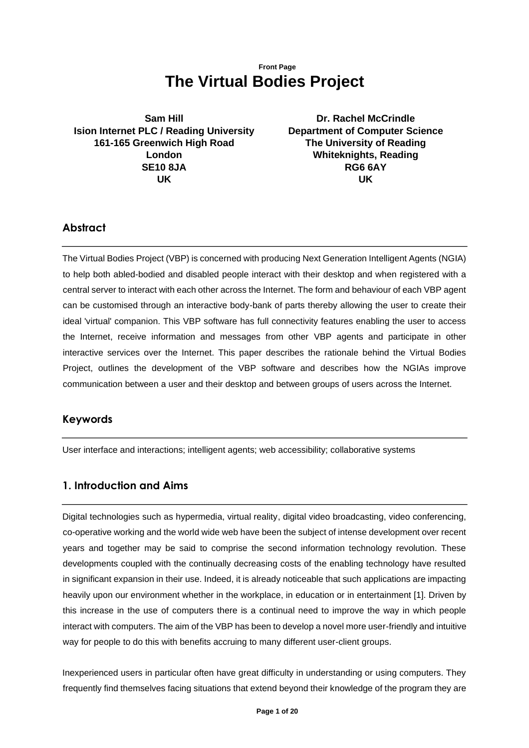# **Front Page The Virtual Bodies Project**

**Sam Hill Ision Internet PLC / Reading University 161-165 Greenwich High Road London SE10 8JA UK**

**Dr. Rachel McCrindle Department of Computer Science The University of Reading Whiteknights, Reading RG6 6AY UK**

# **Abstract**

The Virtual Bodies Project (VBP) is concerned with producing Next Generation Intelligent Agents (NGIA) to help both abled-bodied and disabled people interact with their desktop and when registered with a central server to interact with each other across the Internet. The form and behaviour of each VBP agent can be customised through an interactive body-bank of parts thereby allowing the user to create their ideal 'virtual' companion. This VBP software has full connectivity features enabling the user to access the Internet, receive information and messages from other VBP agents and participate in other interactive services over the Internet. This paper describes the rationale behind the Virtual Bodies Project, outlines the development of the VBP software and describes how the NGIAs improve communication between a user and their desktop and between groups of users across the Internet.

### **Keywords**

User interface and interactions; intelligent agents; web accessibility; collaborative systems

# **1. Introduction and Aims**

Digital technologies such as hypermedia, virtual reality, digital video broadcasting, video conferencing, co-operative working and the world wide web have been the subject of intense development over recent years and together may be said to comprise the second information technology revolution. These developments coupled with the continually decreasing costs of the enabling technology have resulted in significant expansion in their use. Indeed, it is already noticeable that such applications are impacting heavily upon our environment whether in the workplace, in education or in entertainment [1]. Driven by this increase in the use of computers there is a continual need to improve the way in which people interact with computers. The aim of the VBP has been to develop a novel more user-friendly and intuitive way for people to do this with benefits accruing to many different user-client groups.

Inexperienced users in particular often have great difficulty in understanding or using computers. They frequently find themselves facing situations that extend beyond their knowledge of the program they are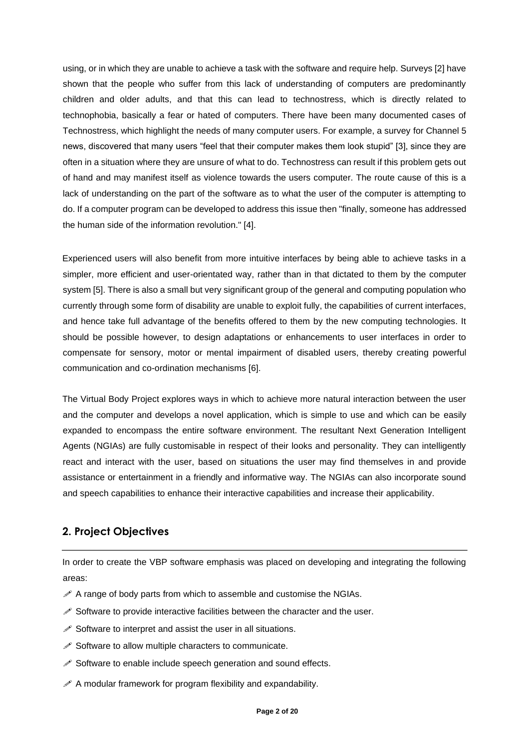using, or in which they are unable to achieve a task with the software and require help. Surveys [2] have shown that the people who suffer from this lack of understanding of computers are predominantly children and older adults, and that this can lead to technostress, which is directly related to technophobia, basically a fear or hated of computers. There have been many documented cases of Technostress, which highlight the needs of many computer users. For example, a survey for Channel 5 news, discovered that many users "feel that their computer makes them look stupid" [3], since they are often in a situation where they are unsure of what to do. Technostress can result if this problem gets out of hand and may manifest itself as violence towards the users computer. The route cause of this is a lack of understanding on the part of the software as to what the user of the computer is attempting to do. If a computer program can be developed to address this issue then "finally, someone has addressed the human side of the information revolution." [4].

Experienced users will also benefit from more intuitive interfaces by being able to achieve tasks in a simpler, more efficient and user-orientated way, rather than in that dictated to them by the computer system [5]. There is also a small but very significant group of the general and computing population who currently through some form of disability are unable to exploit fully, the capabilities of current interfaces, and hence take full advantage of the benefits offered to them by the new computing technologies. It should be possible however, to design adaptations or enhancements to user interfaces in order to compensate for sensory, motor or mental impairment of disabled users, thereby creating powerful communication and co-ordination mechanisms [6].

The Virtual Body Project explores ways in which to achieve more natural interaction between the user and the computer and develops a novel application, which is simple to use and which can be easily expanded to encompass the entire software environment. The resultant Next Generation Intelligent Agents (NGIAs) are fully customisable in respect of their looks and personality. They can intelligently react and interact with the user, based on situations the user may find themselves in and provide assistance or entertainment in a friendly and informative way. The NGIAs can also incorporate sound and speech capabilities to enhance their interactive capabilities and increase their applicability.

# **2. Project Objectives**

In order to create the VBP software emphasis was placed on developing and integrating the following areas:

- $\mathscr A$  A range of body parts from which to assemble and customise the NGIAs.
- $\mathscr S$  Software to provide interactive facilities between the character and the user.
- $\mathscr S$  Software to interpret and assist the user in all situations.
- $\mathscr S$  Software to allow multiple characters to communicate.
- $\mathscr S$  Software to enable include speech generation and sound effects.
- $\mathscr A$  A modular framework for program flexibility and expandability.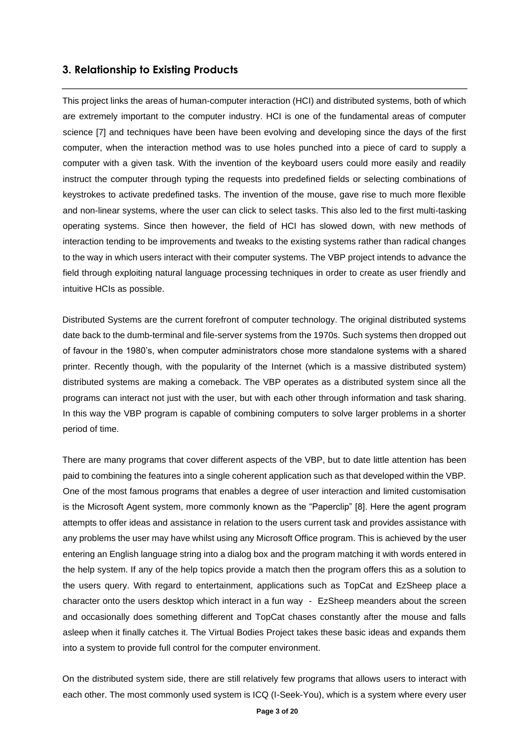# **3. Relationship to Existing Products**

This project links the areas of human-computer interaction (HCI) and distributed systems, both of which are extremely important to the computer industry. HCI is one of the fundamental areas of computer science [7] and techniques have been have been evolving and developing since the days of the first computer, when the interaction method was to use holes punched into a piece of card to supply a computer with a given task. With the invention of the keyboard users could more easily and readily instruct the computer through typing the requests into predefined fields or selecting combinations of keystrokes to activate predefined tasks. The invention of the mouse, gave rise to much more flexible and non-linear systems, where the user can click to select tasks. This also led to the first multi-tasking operating systems. Since then however, the field of HCI has slowed down, with new methods of interaction tending to be improvements and tweaks to the existing systems rather than radical changes to the way in which users interact with their computer systems. The VBP project intends to advance the field through exploiting natural language processing techniques in order to create as user friendly and intuitive HCIs as possible.

Distributed Systems are the current forefront of computer technology. The original distributed systems date back to the dumb-terminal and file-server systems from the 1970s. Such systems then dropped out of favour in the 1980's, when computer administrators chose more standalone systems with a shared printer. Recently though, with the popularity of the Internet (which is a massive distributed system) distributed systems are making a comeback. The VBP operates as a distributed system since all the programs can interact not just with the user, but with each other through information and task sharing. In this way the VBP program is capable of combining computers to solve larger problems in a shorter period of time.

There are many programs that cover different aspects of the VBP, but to date little attention has been paid to combining the features into a single coherent application such as that developed within the VBP. One of the most famous programs that enables a degree of user interaction and limited customisation is the Microsoft Agent system, more commonly known as the "Paperclip" [8]. Here the agent program attempts to offer ideas and assistance in relation to the users current task and provides assistance with any problems the user may have whilst using any Microsoft Office program. This is achieved by the user entering an English language string into a dialog box and the program matching it with words entered in the help system. If any of the help topics provide a match then the program offers this as a solution to the users query. With regard to entertainment, applications such as TopCat and EzSheep place a character onto the users desktop which interact in a fun way - EzSheep meanders about the screen and occasionally does something different and TopCat chases constantly after the mouse and falls asleep when it finally catches it. The Virtual Bodies Project takes these basic ideas and expands them into a system to provide full control for the computer environment.

On the distributed system side, there are still relatively few programs that allows users to interact with each other. The most commonly used system is ICQ (I-Seek-You), which is a system where every user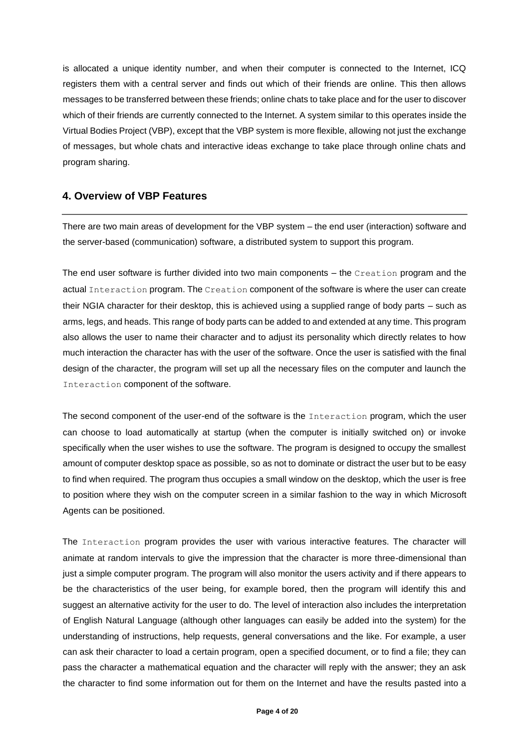is allocated a unique identity number, and when their computer is connected to the Internet, ICQ registers them with a central server and finds out which of their friends are online. This then allows messages to be transferred between these friends; online chats to take place and for the user to discover which of their friends are currently connected to the Internet. A system similar to this operates inside the Virtual Bodies Project (VBP), except that the VBP system is more flexible, allowing not just the exchange of messages, but whole chats and interactive ideas exchange to take place through online chats and program sharing.

### **4. Overview of VBP Features**

There are two main areas of development for the VBP system – the end user (interaction) software and the server-based (communication) software, a distributed system to support this program.

The end user software is further divided into two main components – the Creation program and the actual Interaction program. The Creation component of the software is where the user can create their NGIA character for their desktop, this is achieved using a supplied range of body parts – such as arms, legs, and heads. This range of body parts can be added to and extended at any time. This program also allows the user to name their character and to adjust its personality which directly relates to how much interaction the character has with the user of the software. Once the user is satisfied with the final design of the character, the program will set up all the necessary files on the computer and launch the Interaction component of the software.

The second component of the user-end of the software is the Interaction program, which the user can choose to load automatically at startup (when the computer is initially switched on) or invoke specifically when the user wishes to use the software. The program is designed to occupy the smallest amount of computer desktop space as possible, so as not to dominate or distract the user but to be easy to find when required. The program thus occupies a small window on the desktop, which the user is free to position where they wish on the computer screen in a similar fashion to the way in which Microsoft Agents can be positioned.

The Interaction program provides the user with various interactive features. The character will animate at random intervals to give the impression that the character is more three-dimensional than just a simple computer program. The program will also monitor the users activity and if there appears to be the characteristics of the user being, for example bored, then the program will identify this and suggest an alternative activity for the user to do. The level of interaction also includes the interpretation of English Natural Language (although other languages can easily be added into the system) for the understanding of instructions, help requests, general conversations and the like. For example, a user can ask their character to load a certain program, open a specified document, or to find a file; they can pass the character a mathematical equation and the character will reply with the answer; they an ask the character to find some information out for them on the Internet and have the results pasted into a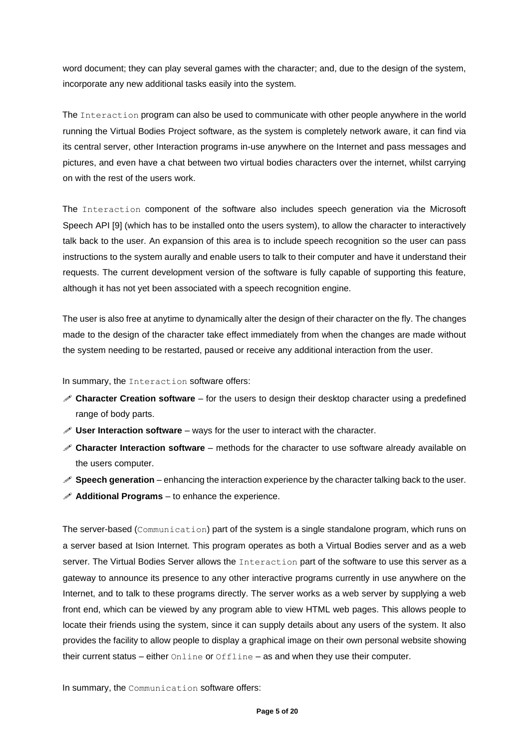word document; they can play several games with the character; and, due to the design of the system, incorporate any new additional tasks easily into the system.

The Interaction program can also be used to communicate with other people anywhere in the world running the Virtual Bodies Project software, as the system is completely network aware, it can find via its central server, other Interaction programs in-use anywhere on the Internet and pass messages and pictures, and even have a chat between two virtual bodies characters over the internet, whilst carrying on with the rest of the users work.

The Interaction component of the software also includes speech generation via the Microsoft Speech API [9] (which has to be installed onto the users system), to allow the character to interactively talk back to the user. An expansion of this area is to include speech recognition so the user can pass instructions to the system aurally and enable users to talk to their computer and have it understand their requests. The current development version of the software is fully capable of supporting this feature, although it has not yet been associated with a speech recognition engine.

The user is also free at anytime to dynamically alter the design of their character on the fly. The changes made to the design of the character take effect immediately from when the changes are made without the system needing to be restarted, paused or receive any additional interaction from the user.

#### In summary, the Interaction software offers:

- **Character Creation software** for the users to design their desktop character using a predefined range of body parts.
- **User Interaction software** ways for the user to interact with the character.
- **Character Interaction software** methods for the character to use software already available on the users computer.
- **Speech generation** enhancing the interaction experience by the character talking back to the user.
- $\mathscr X$  **Additional Programs** to enhance the experience.

The server-based (Communication) part of the system is a single standalone program, which runs on a server based at Ision Internet. This program operates as both a Virtual Bodies server and as a web server. The Virtual Bodies Server allows the Interaction part of the software to use this server as a gateway to announce its presence to any other interactive programs currently in use anywhere on the Internet, and to talk to these programs directly. The server works as a web server by supplying a web front end, which can be viewed by any program able to view HTML web pages. This allows people to locate their friends using the system, since it can supply details about any users of the system. It also provides the facility to allow people to display a graphical image on their own personal website showing their current status – either Online or Offline – as and when they use their computer.

In summary, the Communication software offers: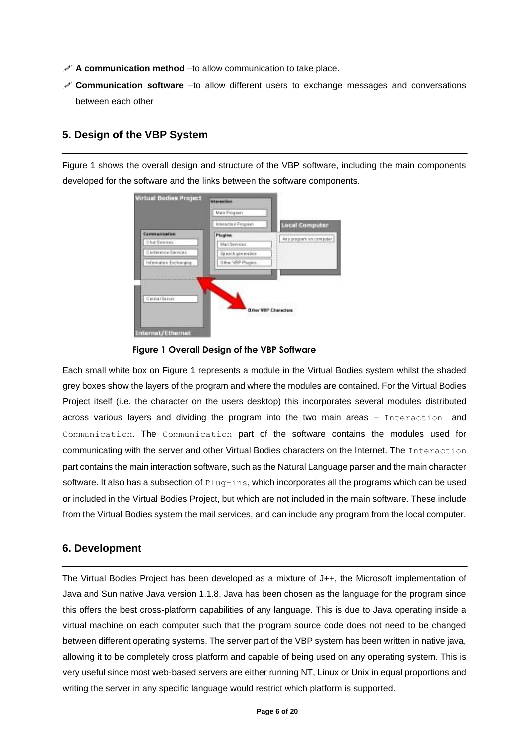- **A communication method** –to allow communication to take place.
- **Communication software** –to allow different users to exchange messages and conversations between each other

#### **5. Design of the VBP System**

Figure 1 shows the overall design and structure of the VBP software, including the main components developed for the software and the links between the software components.

|                         | Mais Program           |                                                            |
|-------------------------|------------------------|------------------------------------------------------------|
|                         | MANAGER & Program      | <b>Local Computer</b>                                      |
| <b>Communication</b>    | <b>Phopins:</b>        |                                                            |
| Chef Settman            | Mail Services          | Any program in computer<br><b>Contract of the Contract</b> |
| Cardwards Sarvices      | Special August produce |                                                            |
| Internation Exchanging. | O B w 1/8 P Plugins    |                                                            |
|                         |                        |                                                            |
|                         |                        |                                                            |
| Cantral Server          |                        |                                                            |
|                         |                        | 5320100632120092<br><b>Biter VBP Characters</b>            |
|                         |                        | 이 어려워 까봐요? 신용 씨들은                                          |



Each small white box on Figure 1 represents a module in the Virtual Bodies system whilst the shaded grey boxes show the layers of the program and where the modules are contained. For the Virtual Bodies Project itself (i.e. the character on the users desktop) this incorporates several modules distributed across various layers and dividing the program into the two main areas – Interaction and Communication. The Communication part of the software contains the modules used for communicating with the server and other Virtual Bodies characters on the Internet. The Interaction part contains the main interaction software, such as the Natural Language parser and the main character software. It also has a subsection of  $\text{Plug-ins}$ , which incorporates all the programs which can be used or included in the Virtual Bodies Project, but which are not included in the main software. These include from the Virtual Bodies system the mail services, and can include any program from the local computer.

### **6. Development**

The Virtual Bodies Project has been developed as a mixture of J++, the Microsoft implementation of Java and Sun native Java version 1.1.8. Java has been chosen as the language for the program since this offers the best cross-platform capabilities of any language. This is due to Java operating inside a virtual machine on each computer such that the program source code does not need to be changed between different operating systems. The server part of the VBP system has been written in native java, allowing it to be completely cross platform and capable of being used on any operating system. This is very useful since most web-based servers are either running NT, Linux or Unix in equal proportions and writing the server in any specific language would restrict which platform is supported.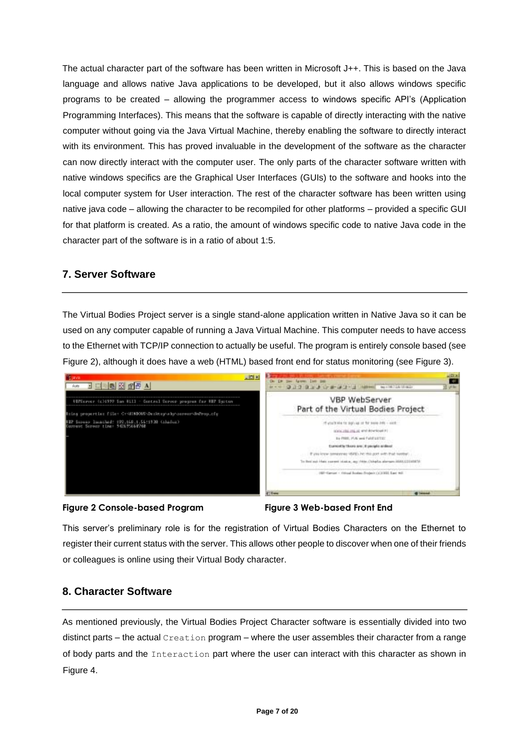The actual character part of the software has been written in Microsoft J++. This is based on the Java language and allows native Java applications to be developed, but it also allows windows specific programs to be created – allowing the programmer access to windows specific API's (Application Programming Interfaces). This means that the software is capable of directly interacting with the native computer without going via the Java Virtual Machine, thereby enabling the software to directly interact with its environment. This has proved invaluable in the development of the software as the character can now directly interact with the computer user. The only parts of the character software written with native windows specifics are the Graphical User Interfaces (GUIs) to the software and hooks into the local computer system for User interaction. The rest of the character software has been written using native java code – allowing the character to be recompiled for other platforms – provided a specific GUI for that platform is created. As a ratio, the amount of windows specific code to native Java code in the character part of the software is in a ratio of about 1:5.

### **7. Server Software**

The Virtual Bodies Project server is a single stand-alone application written in Native Java so it can be used on any computer capable of running a Java Virtual Machine. This computer needs to have access to the Ethernet with TCP/IP connection to actually be useful. The program is entirely console based (see Figure 2), although it does have a web (HTML) based front end for status monitoring (see Figure 3).



#### **Figure 2 Console-based Program Figure 3 Web-based Front End**



This server's preliminary role is for the registration of Virtual Bodies Characters on the Ethernet to register their current status with the server. This allows other people to discover when one of their friends or colleagues is online using their Virtual Body character.

# **8. Character Software**

As mentioned previously, the Virtual Bodies Project Character software is essentially divided into two distinct parts – the actual  $\text{Creation program}$  – where the user assembles their character from a range of body parts and the Interaction part where the user can interact with this character as shown in Figure 4.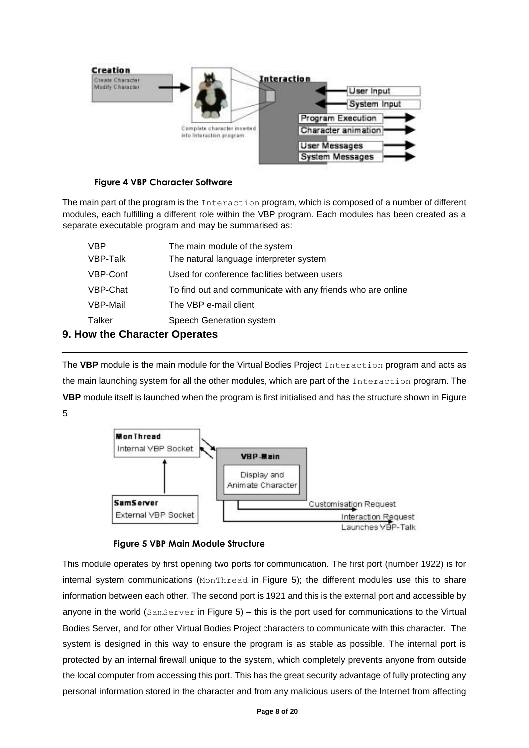

### **Figure 4 VBP Character Software**

The main part of the program is the Interaction program, which is composed of a number of different modules, each fulfilling a different role within the VBP program. Each modules has been created as a separate executable program and may be summarised as:

| <b>VBP</b> | The main module of the system                               |
|------------|-------------------------------------------------------------|
| VBP-Talk   | The natural language interpreter system                     |
| VBP-Conf   | Used for conference facilities between users                |
| VBP-Chat   | To find out and communicate with any friends who are online |
| VBP-Mail   | The VBP e-mail client                                       |
| Talker     | Speech Generation system                                    |

### **9. How the Character Operates**

The **VBP** module is the main module for the Virtual Bodies Project Interaction program and acts as the main launching system for all the other modules, which are part of the Interaction program. The **VBP** module itself is launched when the program is first initialised and has the structure shown in Figure 5





This module operates by first opening two ports for communication. The first port (number 1922) is for internal system communications (MonThread in Figure 5); the different modules use this to share information between each other. The second port is 1921 and this is the external port and accessible by anyone in the world (SamServer in Figure 5) – this is the port used for communications to the Virtual Bodies Server, and for other Virtual Bodies Project characters to communicate with this character. The system is designed in this way to ensure the program is as stable as possible. The internal port is protected by an internal firewall unique to the system, which completely prevents anyone from outside the local computer from accessing this port. This has the great security advantage of fully protecting any personal information stored in the character and from any malicious users of the Internet from affecting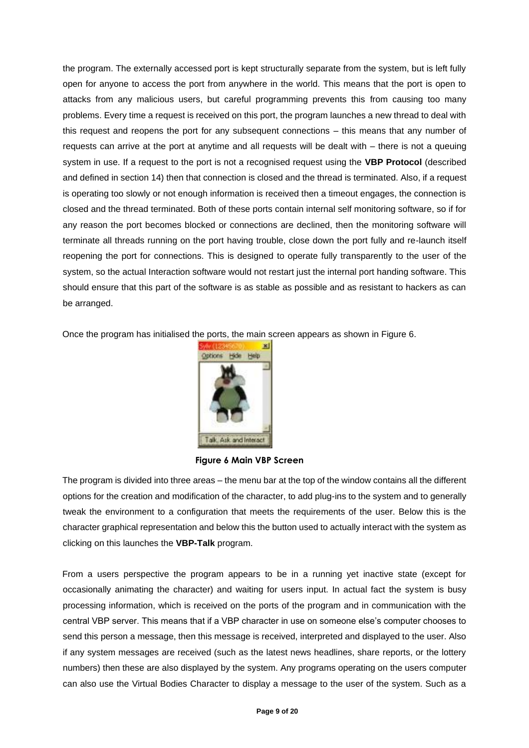the program. The externally accessed port is kept structurally separate from the system, but is left fully open for anyone to access the port from anywhere in the world. This means that the port is open to attacks from any malicious users, but careful programming prevents this from causing too many problems. Every time a request is received on this port, the program launches a new thread to deal with this request and reopens the port for any subsequent connections – this means that any number of requests can arrive at the port at anytime and all requests will be dealt with – there is not a queuing system in use. If a request to the port is not a recognised request using the **VBP Protocol** (described and defined in section 14) then that connection is closed and the thread is terminated. Also, if a request is operating too slowly or not enough information is received then a timeout engages, the connection is closed and the thread terminated. Both of these ports contain internal self monitoring software, so if for any reason the port becomes blocked or connections are declined, then the monitoring software will terminate all threads running on the port having trouble, close down the port fully and re-launch itself reopening the port for connections. This is designed to operate fully transparently to the user of the system, so the actual Interaction software would not restart just the internal port handing software. This should ensure that this part of the software is as stable as possible and as resistant to hackers as can be arranged.

Once the program has initialised the ports, the main screen appears as shown in Figure 6.



#### **Figure 6 Main VBP Screen**

The program is divided into three areas – the menu bar at the top of the window contains all the different options for the creation and modification of the character, to add plug-ins to the system and to generally tweak the environment to a configuration that meets the requirements of the user. Below this is the character graphical representation and below this the button used to actually interact with the system as clicking on this launches the **VBP-Talk** program.

From a users perspective the program appears to be in a running yet inactive state (except for occasionally animating the character) and waiting for users input. In actual fact the system is busy processing information, which is received on the ports of the program and in communication with the central VBP server. This means that if a VBP character in use on someone else's computer chooses to send this person a message, then this message is received, interpreted and displayed to the user. Also if any system messages are received (such as the latest news headlines, share reports, or the lottery numbers) then these are also displayed by the system. Any programs operating on the users computer can also use the Virtual Bodies Character to display a message to the user of the system. Such as a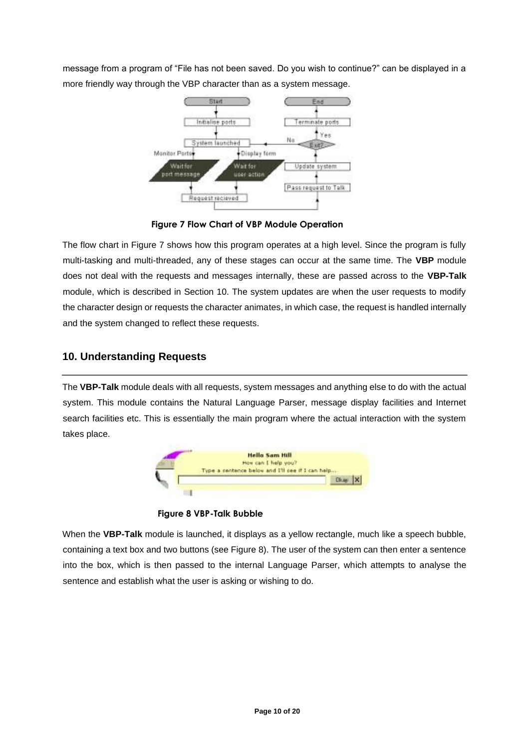message from a program of "File has not been saved. Do you wish to continue?" can be displayed in a more friendly way through the VBP character than as a system message.



**Figure 7 Flow Chart of VBP Module Operation**

The flow chart in Figure 7 shows how this program operates at a high level. Since the program is fully multi-tasking and multi-threaded, any of these stages can occur at the same time. The **VBP** module does not deal with the requests and messages internally, these are passed across to the **VBP-Talk**  module, which is described in Section 10. The system updates are when the user requests to modify the character design or requests the character animates, in which case, the request is handled internally and the system changed to reflect these requests.

# **10. Understanding Requests**

The **VBP-Talk** module deals with all requests, system messages and anything else to do with the actual system. This module contains the Natural Language Parser, message display facilities and Internet search facilities etc. This is essentially the main program where the actual interaction with the system takes place.



**Figure 8 VBP-Talk Bubble**

When the **VBP-Talk** module is launched, it displays as a yellow rectangle, much like a speech bubble, containing a text box and two buttons (see Figure 8). The user of the system can then enter a sentence into the box, which is then passed to the internal Language Parser, which attempts to analyse the sentence and establish what the user is asking or wishing to do.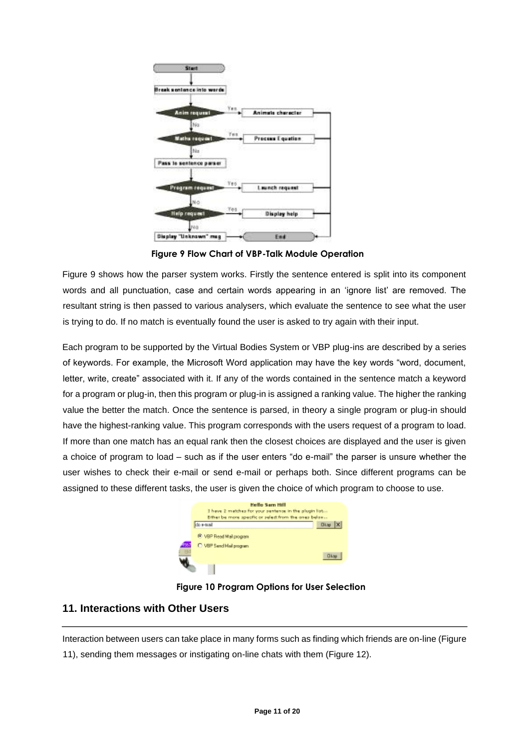

**Figure 9 Flow Chart of VBP-Talk Module Operation**

Figure 9 shows how the parser system works. Firstly the sentence entered is split into its component words and all punctuation, case and certain words appearing in an 'ignore list' are removed. The resultant string is then passed to various analysers, which evaluate the sentence to see what the user is trying to do. If no match is eventually found the user is asked to try again with their input.

Each program to be supported by the Virtual Bodies System or VBP plug-ins are described by a series of keywords. For example, the Microsoft Word application may have the key words "word, document, letter, write, create" associated with it. If any of the words contained in the sentence match a keyword for a program or plug-in, then this program or plug-in is assigned a ranking value. The higher the ranking value the better the match. Once the sentence is parsed, in theory a single program or plug-in should have the highest-ranking value. This program corresponds with the users request of a program to load. If more than one match has an equal rank then the closest choices are displayed and the user is given a choice of program to load – such as if the user enters "do e-mail" the parser is unsure whether the user wishes to check their e-mail or send e-mail or perhaps both. Since different programs can be assigned to these different tasks, the user is given the choice of which program to choose to use.



**Figure 10 Program Options for User Selection**

# **11. Interactions with Other Users**

Interaction between users can take place in many forms such as finding which friends are on-line (Figure 11), sending them messages or instigating on-line chats with them (Figure 12).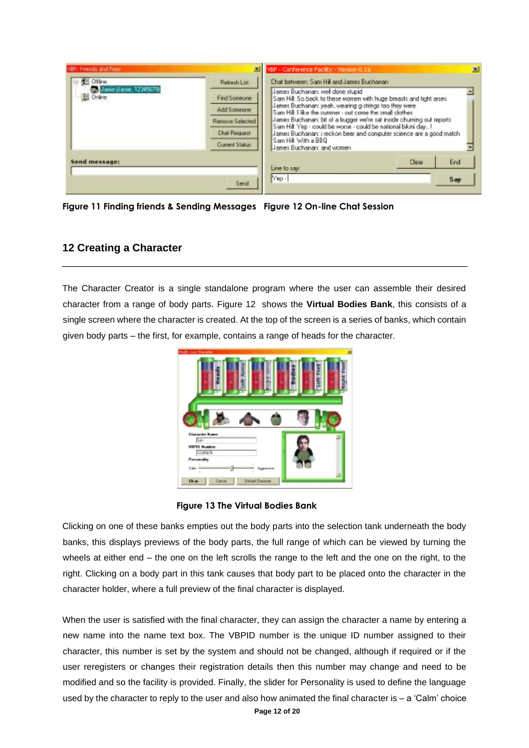| VBP: Friends and Foes                                 |                                                                                                                      | VBP - Conference Facility - Version 0.1a                                                                                                                                                                                                                                                                                                                                                                                                                                                                                                             | $\mathbb{R}$ |
|-------------------------------------------------------|----------------------------------------------------------------------------------------------------------------------|------------------------------------------------------------------------------------------------------------------------------------------------------------------------------------------------------------------------------------------------------------------------------------------------------------------------------------------------------------------------------------------------------------------------------------------------------------------------------------------------------------------------------------------------------|--------------|
| <b>Offine</b><br>Jonie (Janie: 12345679)<br>U. Online | <b>Reherh List</b><br>Find Someone<br>Add Someone<br><b>Renove Selected</b><br><b>Chat Request</b><br>Current Status | Chat between: Sam Hill and James Buchanan<br>James Buchanan: well done stupid<br>Sam Hill: So back to these women with huge breasts and tight arses<br>James Buchanan: yeah, wearing g-strings too they were<br>Sam Hilt I like the summer - out come the small clothes<br>James Buchanan: bit of a bugger we're sat inside chuming out reports<br>Sam Hilt Yep - could be worse - could be national bikini day!<br>James Buchanar: i reckon beer and computer science are a good match<br>l Sam Hilt With a BBQ<br><b>Janes Buchanan: and women</b> |              |
| Send message:                                         |                                                                                                                      | End<br>Clear<br>Line to say:                                                                                                                                                                                                                                                                                                                                                                                                                                                                                                                         |              |
|                                                       | Send                                                                                                                 | Nep-<br>Say                                                                                                                                                                                                                                                                                                                                                                                                                                                                                                                                          |              |

**Figure 11 Finding friends & Sending Messages Figure 12 On-line Chat Session**

### **12 Creating a Character**

The Character Creator is a single standalone program where the user can assemble their desired character from a range of body parts. Figure 12 shows the **Virtual Bodies Bank**, this consists of a single screen where the character is created. At the top of the screen is a series of banks, which contain given body parts – the first, for example, contains a range of heads for the character.



**Figure 13 The Virtual Bodies Bank**

Clicking on one of these banks empties out the body parts into the selection tank underneath the body banks, this displays previews of the body parts, the full range of which can be viewed by turning the wheels at either end – the one on the left scrolls the range to the left and the one on the right, to the right. Clicking on a body part in this tank causes that body part to be placed onto the character in the character holder, where a full preview of the final character is displayed.

When the user is satisfied with the final character, they can assign the character a name by entering a new name into the name text box. The VBPID number is the unique ID number assigned to their character, this number is set by the system and should not be changed, although if required or if the user reregisters or changes their registration details then this number may change and need to be modified and so the facility is provided. Finally, the slider for Personality is used to define the language used by the character to reply to the user and also how animated the final character is – a 'Calm' choice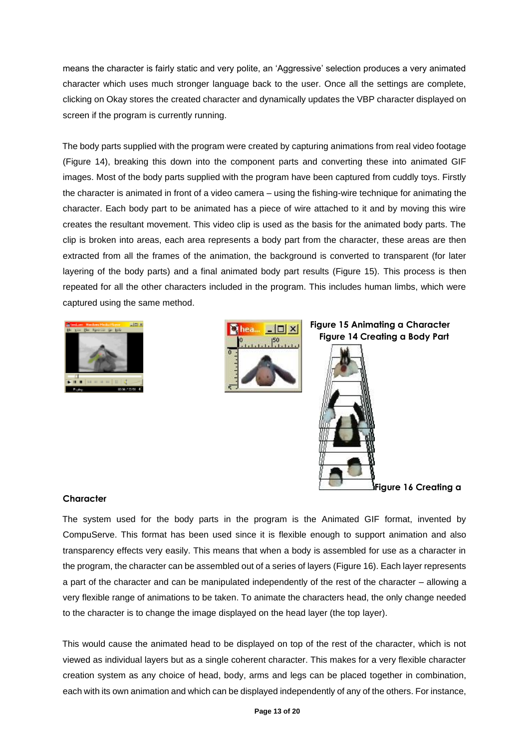means the character is fairly static and very polite, an 'Aggressive' selection produces a very animated character which uses much stronger language back to the user. Once all the settings are complete, clicking on Okay stores the created character and dynamically updates the VBP character displayed on screen if the program is currently running.

The body parts supplied with the program were created by capturing animations from real video footage (Figure 14), breaking this down into the component parts and converting these into animated GIF images. Most of the body parts supplied with the program have been captured from cuddly toys. Firstly the character is animated in front of a video camera – using the fishing-wire technique for animating the character. Each body part to be animated has a piece of wire attached to it and by moving this wire creates the resultant movement. This video clip is used as the basis for the animated body parts. The clip is broken into areas, each area represents a body part from the character, these areas are then extracted from all the frames of the animation, the background is converted to transparent (for later layering of the body parts) and a final animated body part results (Figure 15). This process is then repeated for all the other characters included in the program. This includes human limbs, which were captured using the same method.





**Figure 15 Animating a Character Figure 14 Creating a Body Part**



**Figure 16 Creating a** 

#### **Character**

The system used for the body parts in the program is the Animated GIF format, invented by CompuServe. This format has been used since it is flexible enough to support animation and also transparency effects very easily. This means that when a body is assembled for use as a character in the program, the character can be assembled out of a series of layers (Figure 16). Each layer represents a part of the character and can be manipulated independently of the rest of the character – allowing a very flexible range of animations to be taken. To animate the characters head, the only change needed to the character is to change the image displayed on the head layer (the top layer).

This would cause the animated head to be displayed on top of the rest of the character, which is not viewed as individual layers but as a single coherent character. This makes for a very flexible character creation system as any choice of head, body, arms and legs can be placed together in combination, each with its own animation and which can be displayed independently of any of the others. For instance,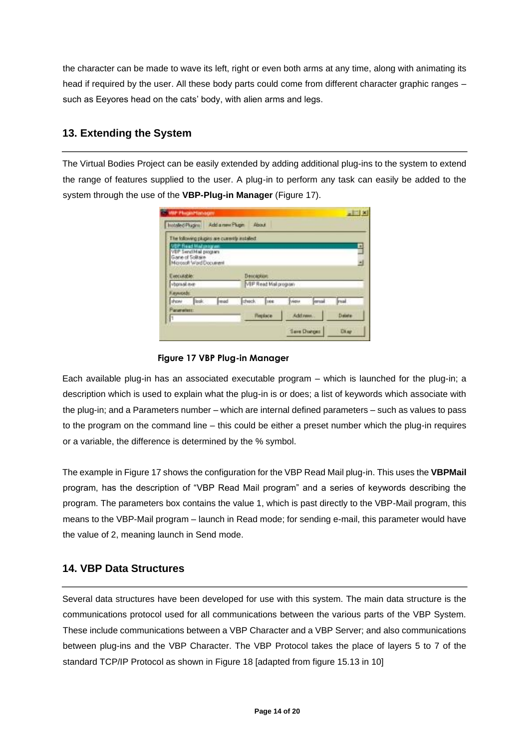the character can be made to wave its left, right or even both arms at any time, along with animating its head if required by the user. All these body parts could come from different character graphic ranges – such as Eeyores head on the cats' body, with alien arms and legs.

# **13. Extending the System**

The Virtual Bodies Project can be easily extended by adding additional plug-ins to the system to extend the range of features supplied to the user. A plug-in to perform any task can easily be added to the system through the use of the **VBP-Plug-in Manager** (Figure 17).

|                               |                                                                                                      | The following pluges are currently autalied. |                                       |            |           |        |        |
|-------------------------------|------------------------------------------------------------------------------------------------------|----------------------------------------------|---------------------------------------|------------|-----------|--------|--------|
|                               | <b>VEP Read Mailphogram</b><br>VEP Send Mail program<br>Game of Solitaire<br>Microsoft Ward Document |                                              |                                       |            |           |        |        |
|                               |                                                                                                      |                                              | Description:<br>VEP Read Mail program |            |           |        |        |
| Executable:<br>visorsail eve- |                                                                                                      |                                              |                                       |            |           |        |        |
| Keywords:                     |                                                                                                      |                                              |                                       |            |           |        |        |
|                               | book.                                                                                                | msd                                          | check.                                | <b>THE</b> | view      | lersal | rsat   |
| show.<br>Parameters:          |                                                                                                      |                                              |                                       | Floplace   | Add rates |        | Datata |

### **Figure 17 VBP Plug-in Manager**

Each available plug-in has an associated executable program – which is launched for the plug-in; a description which is used to explain what the plug-in is or does; a list of keywords which associate with the plug-in; and a Parameters number – which are internal defined parameters – such as values to pass to the program on the command line – this could be either a preset number which the plug-in requires or a variable, the difference is determined by the % symbol.

The example in Figure 17 shows the configuration for the VBP Read Mail plug-in. This uses the **VBPMail** program, has the description of "VBP Read Mail program" and a series of keywords describing the program. The parameters box contains the value 1, which is past directly to the VBP-Mail program, this means to the VBP-Mail program – launch in Read mode; for sending e-mail, this parameter would have the value of 2, meaning launch in Send mode.

# **14. VBP Data Structures**

Several data structures have been developed for use with this system. The main data structure is the communications protocol used for all communications between the various parts of the VBP System. These include communications between a VBP Character and a VBP Server; and also communications between plug-ins and the VBP Character. The VBP Protocol takes the place of layers 5 to 7 of the standard TCP/IP Protocol as shown in Figure 18 [adapted from figure 15.13 in 10]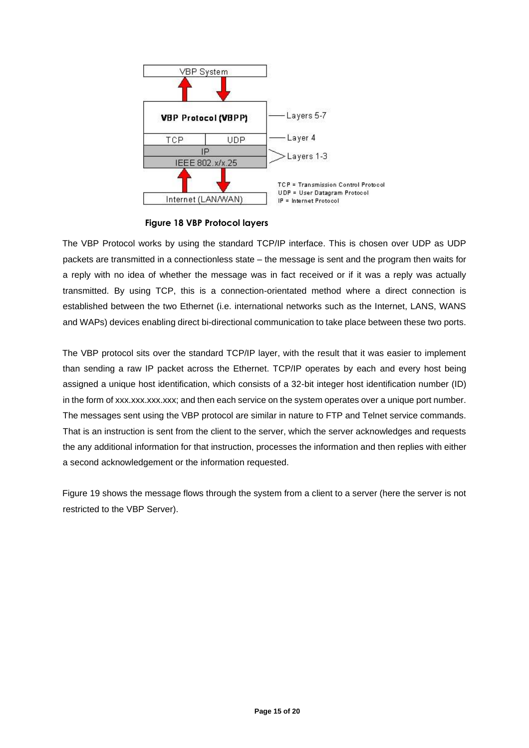

**Figure 18 VBP Protocol layers**

The VBP Protocol works by using the standard TCP/IP interface. This is chosen over UDP as UDP packets are transmitted in a connectionless state – the message is sent and the program then waits for a reply with no idea of whether the message was in fact received or if it was a reply was actually transmitted. By using TCP, this is a connection-orientated method where a direct connection is established between the two Ethernet (i.e. international networks such as the Internet, LANS, WANS and WAPs) devices enabling direct bi-directional communication to take place between these two ports.

The VBP protocol sits over the standard TCP/IP layer, with the result that it was easier to implement than sending a raw IP packet across the Ethernet. TCP/IP operates by each and every host being assigned a unique host identification, which consists of a 32-bit integer host identification number (ID) in the form of xxx.xxx.xxx.xxx; and then each service on the system operates over a unique port number. The messages sent using the VBP protocol are similar in nature to FTP and Telnet service commands. That is an instruction is sent from the client to the server, which the server acknowledges and requests the any additional information for that instruction, processes the information and then replies with either a second acknowledgement or the information requested.

Figure 19 shows the message flows through the system from a client to a server (here the server is not restricted to the VBP Server).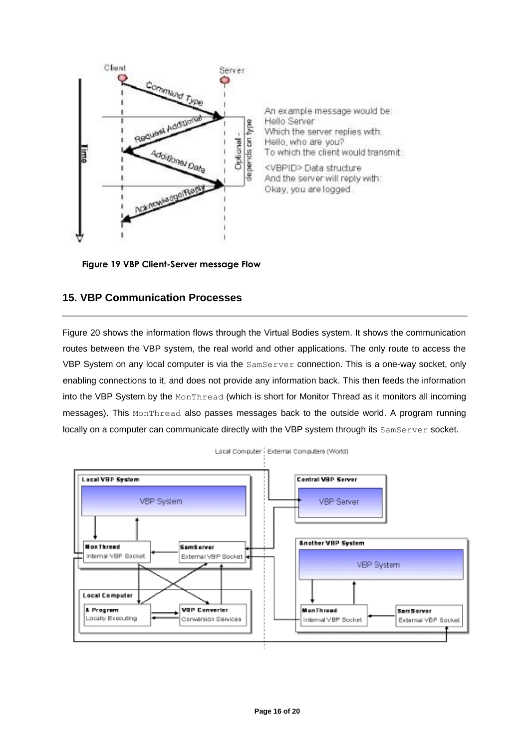

An example message would be: Hello Server Which the server replies with: Hello, who are you? To which the client would transmit:

<VBPID> Data structure And the server will reply with: Okay, you are logged.

**Figure 19 VBP Client-Server message Flow**

# **15. VBP Communication Processes**

Figure 20 shows the information flows through the Virtual Bodies system. It shows the communication routes between the VBP system, the real world and other applications. The only route to access the VBP System on any local computer is via the SamServer connection. This is a one-way socket, only enabling connections to it, and does not provide any information back. This then feeds the information into the VBP System by the MonThread (which is short for Monitor Thread as it monitors all incoming messages). This MonThread also passes messages back to the outside world. A program running locally on a computer can communicate directly with the VBP system through its SamServer socket.

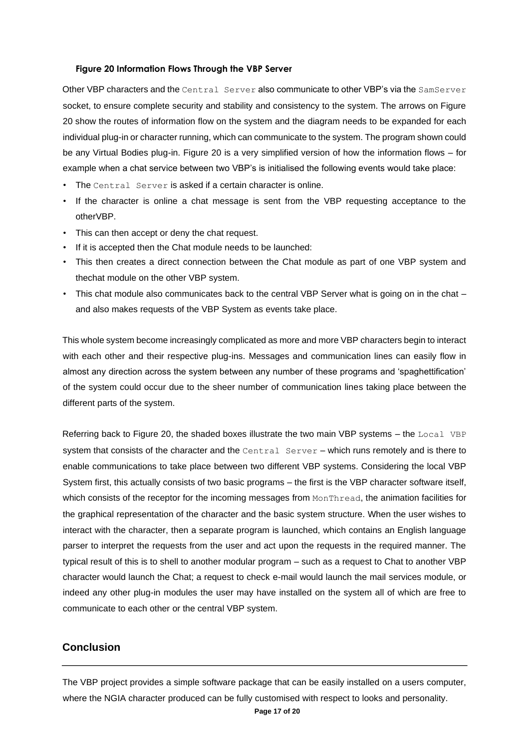#### **Figure 20 Information Flows Through the VBP Server**

Other VBP characters and the Central Server also communicate to other VBP's via the SamServer socket, to ensure complete security and stability and consistency to the system. The arrows on Figure 20 show the routes of information flow on the system and the diagram needs to be expanded for each individual plug-in or character running, which can communicate to the system. The program shown could be any Virtual Bodies plug-in. Figure 20 is a very simplified version of how the information flows – for example when a chat service between two VBP's is initialised the following events would take place:

- The Central Server is asked if a certain character is online.
- If the character is online a chat message is sent from the VBP requesting acceptance to the otherVBP.
- This can then accept or deny the chat request.
- If it is accepted then the Chat module needs to be launched:
- This then creates a direct connection between the Chat module as part of one VBP system and thechat module on the other VBP system.
- This chat module also communicates back to the central VBP Server what is going on in the chat and also makes requests of the VBP System as events take place.

This whole system become increasingly complicated as more and more VBP characters begin to interact with each other and their respective plug-ins. Messages and communication lines can easily flow in almost any direction across the system between any number of these programs and 'spaghettification' of the system could occur due to the sheer number of communication lines taking place between the different parts of the system.

Referring back to Figure 20, the shaded boxes illustrate the two main VBP systems – the Local VBP system that consists of the character and the Central Server - which runs remotely and is there to enable communications to take place between two different VBP systems. Considering the local VBP System first, this actually consists of two basic programs – the first is the VBP character software itself, which consists of the receptor for the incoming messages from MonThread, the animation facilities for the graphical representation of the character and the basic system structure. When the user wishes to interact with the character, then a separate program is launched, which contains an English language parser to interpret the requests from the user and act upon the requests in the required manner. The typical result of this is to shell to another modular program – such as a request to Chat to another VBP character would launch the Chat; a request to check e-mail would launch the mail services module, or indeed any other plug-in modules the user may have installed on the system all of which are free to communicate to each other or the central VBP system.

### **Conclusion**

The VBP project provides a simple software package that can be easily installed on a users computer, where the NGIA character produced can be fully customised with respect to looks and personality.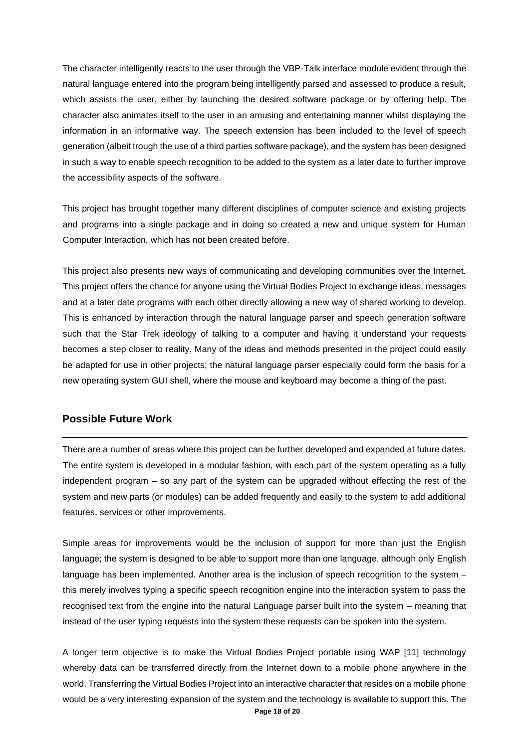The character intelligently reacts to the user through the VBP-Talk interface module evident through the natural language entered into the program being intelligently parsed and assessed to produce a result, which assists the user, either by launching the desired software package or by offering help. The character also animates itself to the user in an amusing and entertaining manner whilst displaying the information in an informative way. The speech extension has been included to the level of speech generation (albeit trough the use of a third parties software package), and the system has been designed in such a way to enable speech recognition to be added to the system as a later date to further improve the accessibility aspects of the software.

This project has brought together many different disciplines of computer science and existing projects and programs into a single package and in doing so created a new and unique system for Human Computer Interaction, which has not been created before.

This project also presents new ways of communicating and developing communities over the Internet. This project offers the chance for anyone using the Virtual Bodies Project to exchange ideas, messages and at a later date programs with each other directly allowing a new way of shared working to develop. This is enhanced by interaction through the natural language parser and speech generation software such that the Star Trek ideology of talking to a computer and having it understand your requests becomes a step closer to reality. Many of the ideas and methods presented in the project could easily be adapted for use in other projects; the natural language parser especially could form the basis for a new operating system GUI shell, where the mouse and keyboard may become a thing of the past.

#### **Possible Future Work**

There are a number of areas where this project can be further developed and expanded at future dates. The entire system is developed in a modular fashion, with each part of the system operating as a fully independent program – so any part of the system can be upgraded without effecting the rest of the system and new parts (or modules) can be added frequently and easily to the system to add additional features, services or other improvements.

Simple areas for improvements would be the inclusion of support for more than just the English language; the system is designed to be able to support more than one language, although only English language has been implemented. Another area is the inclusion of speech recognition to the system – this merely involves typing a specific speech recognition engine into the interaction system to pass the recognised text from the engine into the natural Language parser built into the system – meaning that instead of the user typing requests into the system these requests can be spoken into the system.

**Page 18 of 20** A longer term objective is to make the Virtual Bodies Project portable using WAP [11] technology whereby data can be transferred directly from the Internet down to a mobile phone anywhere in the world. Transferring the Virtual Bodies Project into an interactive character that resides on a mobile phone would be a very interesting expansion of the system and the technology is available to support this. The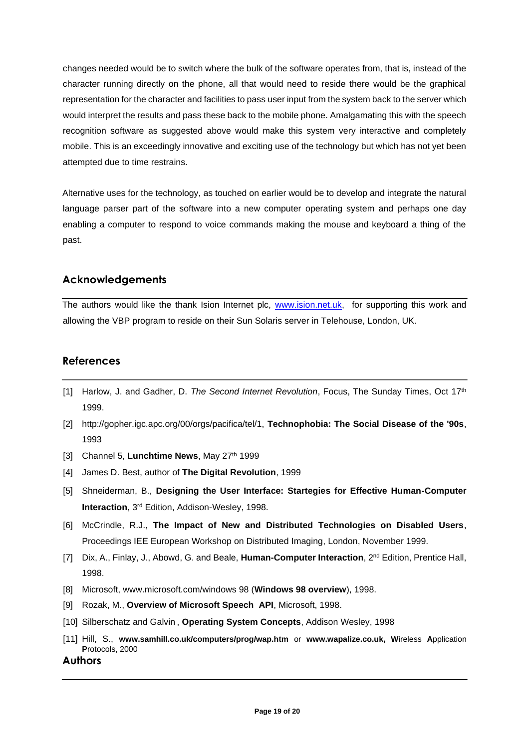changes needed would be to switch where the bulk of the software operates from, that is, instead of the character running directly on the phone, all that would need to reside there would be the graphical representation for the character and facilities to pass user input from the system back to the server which would interpret the results and pass these back to the mobile phone. Amalgamating this with the speech recognition software as suggested above would make this system very interactive and completely mobile. This is an exceedingly innovative and exciting use of the technology but which has not yet been attempted due to time restrains.

Alternative uses for the technology, as touched on earlier would be to develop and integrate the natural language parser part of the software into a new computer operating system and perhaps one day enabling a computer to respond to voice commands making the mouse and keyboard a thing of the past.

# **Acknowledgements**

The authors would like the thank Ision Internet plc, [www.ision.net.uk,](http://www.ision.net.uk/) for supporting this work and allowing the VBP program to reside on their Sun Solaris server in Telehouse, London, UK.

# **References**

- [1] Harlow, J. and Gadher, D. *The Second Internet Revolution*, Focus, The Sunday Times, Oct 17th 1999.
- [2] http://gopher.igc.apc.org/00/orgs/pacifica/tel/1, **Technophobia: The Social Disease of the '90s**, 1993
- [3] Channel 5, Lunchtime News, May 27<sup>th</sup> 1999
- [4] James D. Best, author of **The Digital Revolution**, 1999
- [5] Shneiderman, B., **Designing the User Interface: Startegies for Effective Human-Computer Interaction**, 3rd Edition, Addison-Wesley, 1998.
- [6] McCrindle, R.J., **The Impact of New and Distributed Technologies on Disabled Users**, Proceedings IEE European Workshop on Distributed Imaging, London, November 1999.
- [7] Dix, A., Finlay, J., Abowd, G. and Beale, **Human-Computer Interaction**, 2nd Edition, Prentice Hall, 1998.
- [8] Microsoft, www.microsoft.com/windows 98 (**Windows 98 overview**), 1998.
- [9] Rozak, M., **Overview of Microsoft Speech API**, Microsoft, 1998.
- [10] Silberschatz and Galvin , **Operating System Concepts**, Addison Wesley, 1998
- [11] Hill, S., **www.samhill.co.uk/computers/prog/wap.htm** or **www.wapalize.co.uk, W**ireless **A**pplication **P**rotocols, 2000

**Authors**